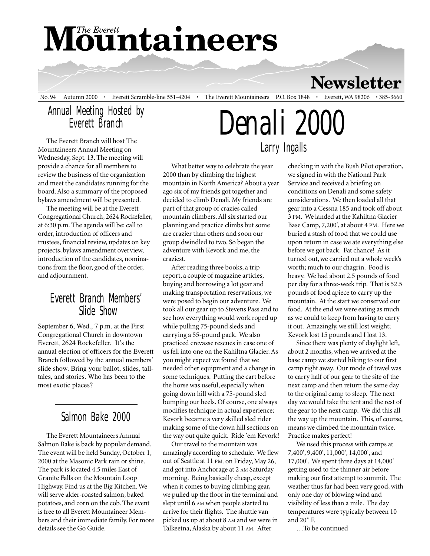# **Mountaineers**

**Newsletter** 

No. 94 Autumn 2000 • Everett Scramble-line 551-4204 • The Everett Mountaineers P.O. Box 1848 • Everett, WA 98206 • 385-3660

#### Annual Meeting Hosted by Everett Branch

The Everett Branch will host The Mountaineers Annual Meeting on Wednesday, Sept. 13. The meeting will provide a chance for all members to review the business of the organization and meet the candidates running for the board. Also a summary of the proposed bylaws amendment will be presented.

The meeting will be at the Everett Congregational Church, 2624 Rockefeller, at 6:30 p.m. The agenda will be: call to order, introduction of officers and trustees, financial review, updates on key projects, bylaws amendment overview, introduction of the candidates, nominations from the floor, good of the order, and adjournment.

#### Everett Branch Members' Slide Show

September 6, Wed., 7 p.m. at the First Congregational Church in downtown Everett, 2624 Rockefeller. It's the annual election of officers for the Everett Branch followed by the annual members' slide show. Bring your ballot, slides, talltales, and stories. Who has been to the most exotic places?

### Salmon Bake 2000

The Everett Mountaineers Annual Salmon Bake is back by popular demand. The event will be held Sunday, October 1, 2000 at the Masonic Park rain or shine. The park is located 4.5 miles East of Granite Falls on the Mountain Loop Highway. Find us at the Big Kitchen. We will serve alder-roasted salmon, baked potatoes, and corn on the cob. The event is free to all Everett Mountaineer Members and their immediate family. For more details see the Go Guide.

*Denali 2000* Larry Ingalls

What better way to celebrate the year 2000 than by climbing the highest mountain in North America? About a year ago six of my friends got together and decided to climb Denali. My friends are part of that group of crazies called mountain climbers. All six started our planning and practice climbs but some are crazier than others and soon our group dwindled to two. So began the adventure with Kevork and me, the craziest.

After reading three books, a trip report, a couple of magazine articles, buying and borrowing a lot gear and making transportation reservations, we were posed to begin our adventure. We took all our gear up to Stevens Pass and to see how everything would work roped up while pulling 75-pound sleds and carrying a 55-pound pack. We also practiced crevasse rescues in case one of us fell into one on the Kahiltna Glacier. As you might expect we found that we needed other equipment and a change in some techniques. Putting the cart before the horse was useful, especially when going down hill with a 75-pound sled bumping our heels. Of course, one always modifies technique in actual experience; Kevork became a very skilled sled rider making some of the down hill sections on the way out quite quick. Ride 'em Kevork!

Our travel to the mountain was amazingly according to schedule. We flew out of Seattle at 11 PM. on Friday, May 26, and got into Anchorage at 2 AM Saturday morning. Being basically cheap, except when it comes to buying climbing gear, we pulled up the floor in the terminal and slept until 6 AM when people started to arrive for their flights. The shuttle van picked us up at about 8 AM and we were in Talkeetna, Alaska by about 11 AM. After

checking in with the Bush Pilot operation, we signed in with the National Park Service and received a briefing on conditions on Denali and some safety considerations. We then loaded all that gear into a Cessna 185 and took off about 3 PM. We landed at the Kahiltna Glacier Base Camp, 7,200', at about 4 PM. Here we buried a stash of food that we could use upon return in case we ate everything else before we got back. Fat chance! As it turned out, we carried out a whole week's worth; much to our chagrin. Food is heavy. We had about 2.5 pounds of food per day for a three-week trip. That is 52.5 pounds of food apiece to carry up the mountain. At the start we conserved our food. At the end we were eating as much as we could to keep from having to carry it out. Amazingly, we still lost weight; Kevork lost 15 pounds and I lost 13.

Since there was plenty of daylight left, about 2 months, when we arrived at the base camp we started hiking to our first camp right away. Our mode of travel was to carry half of our gear to the site of the next camp and then return the same day to the original camp to sleep. The next day we would take the tent and the rest of the gear to the next camp. We did this all the way up the mountain. This, of course, means we climbed the mountain twice. Practice makes perfect!

We used this process with camps at 7,400', 9,400', 11,000', 14,000', and 17,000'. We spent three days at 14,000' getting used to the thinner air before making our first attempt to summit. The weather thus far had been very good, with only one day of blowing wind and visibility of less than a mile. The day temperatures were typically between 10 and 20˚ F.

…To be continued